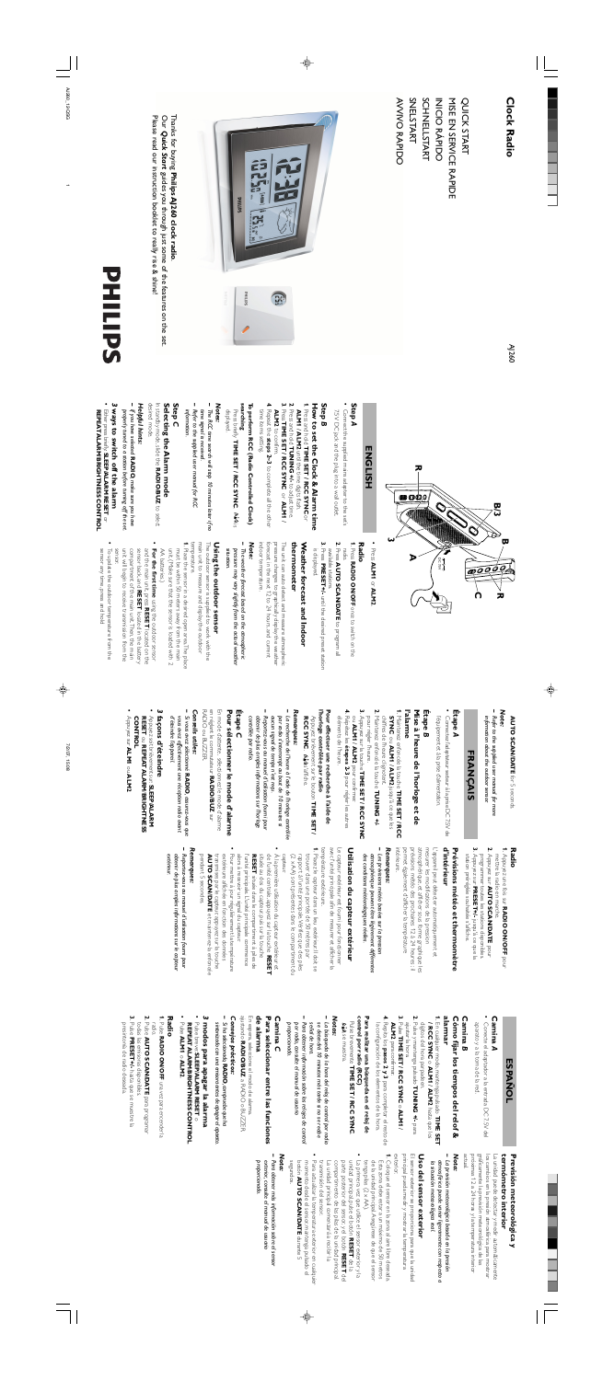AJ260

**AVVIVO RAPIDO** SNELSTART **SCHNELLSTART** AVVIVO RAPIDO SNELSTART SCHNELLSTART MISE EN SERVICE RAPIDE MISE EN SERVICE RAPIDE QUICK START QUICK START **NICIO RÁPIDO** INICIO RÁPIDO



### **Clock Radio Clock Radio**

**•** Press

**ALM1** 

or **ALM2**

**1** . Press **Radio**

**RADIO ON/OFF**

once to switch on the

radio. **2**. Press

forecast in the next 12 to 24 hours, and current pressure changes to graphically display the weather The unit can auto detect and measure atmospheric

- 
- 
- **AUTO SCAN/DATE**to program all
- **3**. Pressis displayed. available stations available stations.  **PRESET+/**until the desired preset station

**thermometer**

thermometer

must be within 50 meters away from the main Place the sensor in a desired open area. The place ust be within 50 meters away from the main

**Weather forecast and Indoor**

Weather forecast and Indoor

recast in the next 12 to 24 hours, and current

pressure changes to graphically display the weather The unit can auto detect and measure atmospheric

*– Note:* indoor temperature.

indoor temperature.

*situation.*

situation

*pressure may vary slightly from the actual weather The weather forecast based on the atmospheric*

pressure may vary slightly from the actual weather The weather forecast based on the atmospheric

**1** . temperature.

temperature.

main unit to measure and display the outdoor The outdoor sensor is supplied to work with the

main unit to measure and display the outdoor The outdoor sensor is supplied to work with the

#### **ENGLISH ENGLISH**

**Using the outdoor sensor**

Using the outdoor sensor

• Connect the supplied mains adapter to the set? 7.5V DC jack and the plug into a wall outlet. 7.5V DC jack and the plug into a wall outlet. Connect the supplied mains adapter to the set's

# How to set the Clock & Alarm time **How to set the Clock & Alarm time**

unit. (Make sure that the sensor is loaded with 2

unit. (Make sure that the sensor is loaded with 2

time items setting. time items setting.

**•**

**For the first time**

using the outdoor sensor

located on the

- **−** The RCC time search will stop 10 minutes later if no Refer to the supplied user manual for RCC time signal is received. *Refer to the supplied user manual for RCC time signal is received. The RCC time search will stop 10 minutes later if no*
- information. *information.*

#### In standby mode, slide the RADIO/BUZ to select desired mode. Selecting the Alarm mode **Selecting the Alarm mode** In standby mode, slide the **RADIO/BUZ**to select

# desired mode.

#### Helpful hints: *Helpful hints:*

- **•** unit will begin to receive transmission from the compartment of the main unit. Then, the main sensor. unit will begin to receive transmission from the compartment of the main unit. Then, the main sensor badk, and **RESET** located in the batter) sensor back, and located in the battery
- sensor any time, press and hold To update the outdoor temperature from the sensor any time, press and hold To update the outdoor temperature from the
- properly tuned to a station before turning off the set. *properly tuned to a station before turning off the set. If you have selected* **RADIO***, make sure you have*
- 3 ways to switch off the alarm **ways to switch off the alarm**
- Either press briefly, SLEEP/ALARM RESET or Either press briefly: **SLEEP/ALARM RESET** or
- **REPEAT ALARM**/**BRIGHTNESS CONTROL**

## **AUTO SCAN/DATE for 5 seconds. AUTO SCAN/DATE**

### **FRANÇAIS** VCAIS

 Please read our instruction booklet to really rise & shine! Thanks for buying Our *Quick Start*Please read our instruction booklet to really rise & shine! Our Quick Start guides you through just some of the features on the set. Thanks for buying **Philips AJ260 clock radio**. guides you through just some of the features on the set. **Philips AJ260 clock radio**



Connectez l'adaptateur secteur à la prise DC 7.5V de l'équipement et à la prise d'alimentation. l'équipement et à la prise d'alimentation. Connectez l'adaptateur secteur à la prise DC 7.5V de

**l'alarme** alarme<sup>o</sup>

# Mise à l'heure de **Mise à l'heure de l'horloge et de**

### **Step**  *A*

- **3**. pour régler l'heure. pour régler l'heure.
- **4**. ou ALM1 / ALM2 pour confirmer. Répétez les ou **ALM1** / **ALM2étapes 2-3**pour confirmer.
- éléments de l'heure. éléments de l'heure.
- l'horloge contrôlée par radio **l'horloge contrôlée par radio Pour effectuer une recherche à l'aide de** Pour effectuer une recherche à l'aide de
- Appuyez brièvement sur le bouton Applyez brièvement sur le bouton TIME SET /

### **Step**  *B*

- **1** . Press and hold **TIME SET / RCC SYNC** or **ALM1** / **ALM2** until the time digits flash.
- **2**. Press and hold **TUNING +/-** to adjust time.

- **RCC SYNC. (AAN s'affiche. RCC SYNC**. s'affiche.
- *– Remarques:* Remarques: La recherche de l'heure *La recherche de l'heure à l'aide de l'horloge contrôlée*
- aucun signal de temps n'est reçu. par radio s'interrompt au bout de 10 minutes si *par radio s'interrompt au bout de 10 minutes si aucun signal de temps n'est reçu.* à l'aide de l'horloge contrôlée
- Reportez-vous au manuel d'utilisation fourni pour obtenir de plus amples informations sur l'horloge *obtenir de plus amples informations sur l'horloge Reportez-vous au manuel d'utilisation fourni pour*
- contrôlée par radio. *contrôlée par radio.*

# En mode d'attente, sélectionnez le mode d'alarme En mode d'attente,

- **3**. Press ALM2 to confirm. **ALM2** to confirm. **TIME SET / RCC SYNC** or **ALM1** /
- **4**. Repeat the **steps 2~3**to complete all the other

### **searching** To perform RCC (Radio Controlled Clock) **To perform RCC (Radio Controlled Clock)**

### $\mathbf{q}$ **SLEEP/ALARM**

une réception radio avant

Press briefly **TIME SET / RCC SYNC**Press briefly TIME SET / RCC SYNC. In an is displayed.

- en réglant le commutateur en réglant le commutateur
- **RADIO ou BUZZER** RADIO ou BUZZER.
- 
- Conseils utiles: *Si vous avez sélectionné*
- **by vous avez selectionne** vous avez effectivement *vous avez effectivement une réception radio avant* **RADIO**, assurez-vous que
- *d'éteindre l'appareil* d'éteindre l'appareil.
- 3 façons d'éteindi  **façons d'éteindre •**
- Appuyez soit brièvement sur: SLEEP/ALARM Appuyez soit brièvement sur:
- **RESET** ou **CONTROLCONTROL**
- Ho **MLA sur ALM1** ou Appuyez sur **ALM1**

### *Notes:*

#### Remarques: *Remarques:*

### **Step**  *C*

*–*

intérieure. atmosphérique, et afficher sous forme graphique les mesurer les modifications de la pression permet également d'afficher la température prévisions météo des prochaines 12 à 24 heures ; il atmosphérique, et afficher sous forme graphique les intérieure. permet également d'afficher la température prévisions météo des prochaines 12 à 24 heures ; il mesurer les modifications de la pression

### Prévisions météo et thermomètre **d'intérieur Prévisions météo et thermomètre**

d'intérieur L'appareil peut détecter automatiquement et - appareil peut détecter automatiquement et

**–** Les prévisions météo basées sur la pression des conditions météorologiques réelles. atmosphérique peuvent être légèrement différentes *des conditions météorologiques réelles. atmosphérique peuvent être légèrement différentes Les prévisions météo basées sur la pression*

# Utilisation du capteur extérieur **Utilisation du capteur extérieur**

**•**

### For the first time using the outdoor sensor and the main unit, press and the main unit, press RESEH located on the

AA batteries.)

AA batteries.)

température extérieure. température extérieure. avec l'unité principale afin de mesurer et afficher la Le capteur extérieur est fourni pour fonctionner Le capteur extérieur est fourni pour fonctionner ec l'unité principale afin de mesurer et afficher la



for 5 seconds.

- *– Note: Refer to the supplied user manual for more*
- information about the outdoor sensor. *information about the outdoor sensor.*

### **FRAI**

### **Étape**  *A*

**•**

**Étape**  *B*

# l'horloge et de

#### Remarques: *Remarques:*

**TIME SET / RCC**

### **ESPANOL ESPAÑOL**

#### **Camina Camina A**

- **1** . Maintenez enfoncée la touche TIME SET / RCC Maintenez enfoncée la touche
- **SYNC** ou **ALM1 / ALM2** jusqu'à ce que les ou **ALM1**
- Maintenez enfoncée la touche

• Conecte el adaptador a la entrada DC 7.5V del Conecte el adaptador a la entrada DC 7.5V del

### alarmar Cómo fijar los tiempos del relof & **alarmar Cómo fijar los tiempos del relof &**

- / **ALM2** jusqu'à ce que les
- chiffres de l'heure clignotent. chiffres de l'heure clignotent.
- 
- **2**.
- Appuyez sur la touche **TIME SET / RCC SYNC**
- 

**TUNING +/-**

**IME SET / RCC SYNC** 

pour régler les autres

### control por radio (RCC) Para realizar una búsqueda en el reloj de **control por radio (RCC) Para realizar una búsqueda en el reloj de**

Pulse brevemente TIME SET / RCC SYNC. Pulse brevemente May se muestra. se muestra. **TIME SET / RCC SYNC**

**TIME SET /**

#### **Camina Camina C**

# Para seleccionar entre las funciones **Para seleccionar entre las funciones**

#### de alarma **de alarma**

ajustando RADIO/BUZ a RADIO o BUZZER. En espera, seleccione el modo de alarma. En espera, seleccione el modo de alarma. **RADIO/BUZ**a RADIO o BUZZER.

### Consejos prácticos: *Consejos prácticos:*

- **–** Si ha seleccionado, **RADIO**, compruebe que ha *Si ha seleccionado,* **RADIO***, compruebe que ha*
- *sintonizado con una emisora antes de apagar el aparato*sintonizado con una emisora antes de apagar el aparato.

# 3 modos para apagar la alarma  **modos para apagar la alarma**

Pulse breve: SLEEP/ALARM RESET o Pulse breve: **SLEEP/ALARM RESET** o

## **Étape**  *C*

próximas 12 a 24 horas y la temperatura interior $\arctan$ los cambios en la presión atmosférica para mostrar próximas 12 a 24 horas y la temperatura interior gráficamente la previsión meteorológica de las gráficamente la previsión meteorológica de las los cambios en la presión atmosférica para mostrar La unidad puede detectar y medir automáticamente La unidad puede detectar y medir automáticamente

#### termometro interior Previsión meteorológica y **termómetro interior Previsión meteorológica y**

*, assurez-vous que*

### Uso del sensor exterior **Uso del sensor exterior**

### /**BRIGHTNESS**

**•**

- 
- 
- 
- 
- Pour sélectionner le mode d'alarme **Pour sélectionner le mode d'alarme**
- sélectionnez le mode d'alarme
- **RADIO/BUZRADIO/BUZ SULT**
- 
- *Conseils utiles:*
- 
- 
- 
- 
- **REPEAT ALARM**
- 
- 
- 
- 
- ou **ALM2**ALM<sub>2</sub>

**1** . **Radio**

Appuyez une fois sur

**RADIO ON/OFF**

pour

mettre la radio en marche.

mettre la radio en marche.

**2**.

Appuyez sur **AUTO SCAN/DATE**

pour

programmer toutes les stations disponibles.

programmer toutes les stations disponibles.

momento desde el sensor, mantenga pulsado el botón **AUTO SCAN/DATE** durante 5 segundos. momento desde el sensor, mantenga pulsado el **AUTO SCAN/DATE**durante 5

**3**.

Appuyez sur

**PRESET+/-**

jusqu'à ce que la

station préréglée souhaitée s'affiche.

station préréglée souhaitée s'affiche.

- **1** . trouver dans une portée de 50 mètres par (2 x AA) sont présentes dans le compartiment du rapport à l'unité principale.Vérifiez que des piles trouver dans une portée de 50 mètres par (2 x AA) sont présentes dans le compartiment du Placez le capteur dans un lieu extérieur. Il doit se apport à l'unité principale. Vérifiez que des piles
- **•** A la première utilisation du capteur extérieur et<br>de l'unité centrale, appuyez sur la touche **RESET RESET** située dans le compartiment à piles de située au dos du capteur, puis sur la touche capteur. située au dos du capteur, puis sur la touche de l'unité centrale, appuyez sur la touche À la première utilisation du capteur extérieur et située dans le compartiment à piles de
- Pour mettre à jour régulièrement la température extérieure affichée en fonction des données alors à recevoir un signal du capteur. extérieure affichée en fonction des données alors à recevoir un signal du capteur. l'unité principale. L'unité principale commence Pour mettre à jour régulièrement la température l'unité principale. L'unité principale commence
- pendant 5 secondes. **AUTO SCAN/DATE** et maintenez-la enfoncée transmises par le capteur, appuyez sur la touche transmises par le capteur, appuyez sur la touche pendant 5 secondes. **TO SCAN/DATE**et maintenez-la enfoncée

*– extérieur.* obtenir de plus amples informations sur le capteur *obtenir de plus amples informations sur le capteur Reportez-vous au manuel d'utilisation fourni pour*

#### **Camina**  Camina *B* aparato y a la toma de la red. aparato y a la toma de la red.

- **1** . / RCC SYNC o ALM1 / ALM2 hasta que los **/ RCC SYNC**En cualquier modo, mantenga pulsado o **ALM1** / **ALM2** hasta que los **TIME SET**
- **2**. dígitos del hora parpadeen. Pulse y mantenga pulsado dígitos del hora parpadeen. **TUNING +/** para
- **3**. ajustar la hora. Pulse **TIME SET / RCC SYNC**ajustar la hora.
- o **ALM1** $\overline{\phantom{0}}$ **ALM2** para confirmar. para confirmar.
- **4**. Repita los la configuración de los elementos de la hora. la configuración de los elementos de la hora. **pasos 2 y 3**para completar el resto de

### *Notas:*

- *–* se detendrá 10 minutos más tarde si no se recibe señal de hora. *señal de hora. se detendrá 10 minutos más tarde si no se recibe La búsqueda de la hora del reloj de control por radio*
- *–* proporcionado. por radio, consulte el manual de usuario *proporcionado. por radio, consulte el manual de usuario Para obtener información sobre los relojes de control*

**•**

**REPEAT ALARMREPEAT ALARM/BRIGHTNESS CONTROL BRIGHTNESS CONTROL**Pulse **ALM1** o **ALM2**.

**•**

### **Radio**

- **1** . Pulse **RADIO ON/OFF**una vez para encender la
- radio. Pulse **AUTO SCAN/DATE**
- **2**. todas las emisoras disponibles. todas las emisoras disponibles. para programar
- **3**. Pulse **PRESET+/**hasta que se muestre la
- presintonía de radio deseada. presintonía de radio deseada.

### *Nota:*

exterior. principal pueda medir y mostrar la temperatura El sensor exterior se proporciona para que la unidad principal pueda medir y mostrar la temperatura El sensor exterior se proporciona para que la unidad

 *la situación meteorológica real.* la situación meteorológica real. atmosférica puede variar ligeramente con respecto a La previsión meteorológica basada en la presión *atmosférica puede variar ligeramente con respecto a La previsión meteorológica basada en la presión*

- **1** . de la unidad principal. Asegúrese de que el sensor Esta zona debe estar a un máximo de 50 metros tenga pilas (2 × AA). tenga pilas (2 x AA). de la unidad principal. Asegúrese de que el sensor Esta zona debe estar a un máximo de 50 metros Coloque el sensor en la zona al aire libre deseada.
- unidad principal, pulse el botón RESET de la La primera vez que utilice el sensor exterior y la compartimento de las pilas de la unidad principal. compartimento de las pilas de la unidad principal. parte posterior del sensor, y el botón unidad principal, pulse el botón La primera vez que utilice el sensor exterior y la **RESET** de la **RESET**del
- Para actualizar la temperatura exterior en cualquier transmisión del sensor. transmisión del sensor. La unidad principal comenzará a recibir la Para actualizar la temperatura exterior en cualquier La unidad principal comenzará a recibir la

**•**

**•**

#### *Nota:*

*–* exterior, consulte el manual de usuario proporcionado. *proporcionado. exterior, consulte el manual de usuario Para obtener más información sobre el sensor*